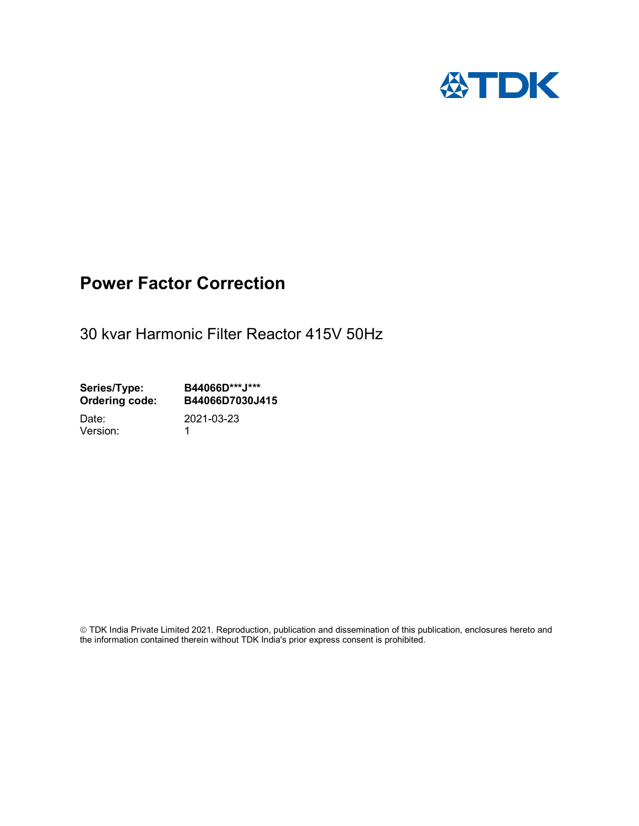

## Power Factor Correction

30 kvar Harmonic Filter Reactor 415V 50Hz

Series/Type: B44066D\*\*\*J\*\*\*<br>Ordering code: B44066D7030J4 B44066D7030J415 Date: 2021-03-23

Version: 1

 TDK India Private Limited 2021. Reproduction, publication and dissemination of this publication, enclosures hereto and the information contained therein without TDK India's prior express consent is prohibited.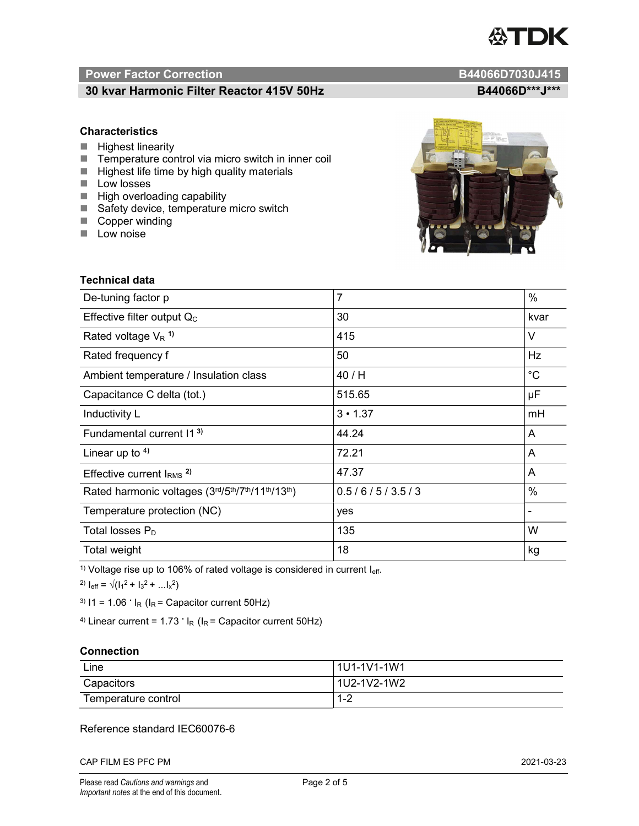# TDK

### Power Factor Correction and Content of the Content of the B44066D7030J415

#### 30 kvar Harmonic Filter Reactor 415V 50Hz B44066D\*\*\*J\*\*\*

#### **Characteristics**

- $\blacksquare$  Highest linearity
- Temperature control via micro switch in inner coil
- $\blacksquare$  Highest life time by high quality materials
- **Low losses**
- $\blacksquare$  High overloading capability
- Safety device, temperature micro switch
- Copper winding
- **Low noise**

| Technical data                                  |                |             |
|-------------------------------------------------|----------------|-------------|
| De-tuning factor p                              | $\overline{7}$ | $\%$        |
| Effective filter output $Q_C$                   | 30             | kvar        |
| Rated voltage $V_R$ <sup>1)</sup>               | 415            | V           |
| Rated frequency f                               | 50             | Hz          |
| Ambient temperature / Insulation class          | 40 / H         | $^{\circ}C$ |
| Capacitance C delta (tot.)                      | 515.65         | μF          |
| Inductivity L                                   | $3 \cdot 1.37$ | mH          |
| Fundamental current 11 <sup>3)</sup>            | 44.24          | A           |
| Linear up to $4$ )                              | 72.21          | A           |
| Effective current $l_{RMS}$ <sup>2)</sup>       | 47.37          | A           |
| Rated harmonic voltages (3rd/5th/7th/11th/13th) | 0.5/6/5/3.5/3  | $\%$        |
| Temperature protection (NC)                     | yes            |             |
| Total losses $P_D$                              | 135            | W           |
| Total weight                                    | 18             | kg          |

<sup>1)</sup> Voltage rise up to 106% of rated voltage is considered in current  $I_{\text{eff}}$ .

<sup>2)</sup>  $I_{eff} = \sqrt{(I_1^2 + I_3^2 + ... I_x^2)}$ 

<sup>3)</sup>  $11 = 1.06$   $\cdot$   $I_R$  ( $I_R$  = Capacitor current 50Hz)

<sup>4)</sup> Linear current =  $1.73$   $\cdot$  I<sub>R</sub> (I<sub>R</sub> = Capacitor current 50Hz)

#### **Connection**

| Line                | 1U1-1V1-1W1   |
|---------------------|---------------|
| Capacitors          | l 1U2-1V2-1W2 |
| Temperature control | 1 O<br>- I =∠ |

#### Reference standard IEC60076-6

CAP FILM ES PFC PM 2021-03-23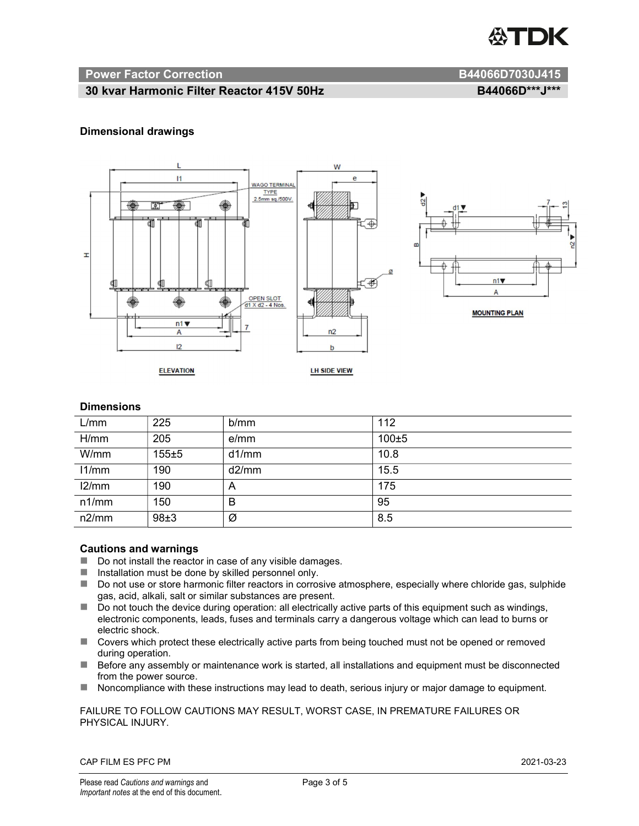

#### Power Factor Correction and B44066D7030J415

#### 30 kvar Harmonic Filter Reactor 415V 50Hz B44066D\*\*\*J\*\*\*

#### Dimensional drawings



#### **Dimensions**

| L/mm  | 225       | b/mm  | 112        |
|-------|-----------|-------|------------|
| H/mm  | 205       | e/mm  | $100\pm 5$ |
| W/mm  | $155 + 5$ | d1/mm | 10.8       |
| 11/mm | 190       | d2/mm | 15.5       |
| 12/mm | 190       | A     | 175        |
| n1/mm | 150       | B     | 95         |
| n2/mm | 98±3      | Ø     | 8.5        |

#### Cautions and warnings

- Do not install the reactor in case of any visible damages.
- $\blacksquare$  Installation must be done by skilled personnel only.
- Do not use or store harmonic filter reactors in corrosive atmosphere, especially where chloride gas, sulphide gas, acid, alkali, salt or similar substances are present.
- Do not touch the device during operation: all electrically active parts of this equipment such as windings, electronic components, leads, fuses and terminals carry a dangerous voltage which can lead to burns or electric shock.
- Covers which protect these electrically active parts from being touched must not be opened or removed during operation.
- Before any assembly or maintenance work is started, all installations and equipment must be disconnected from the power source.
- Noncompliance with these instructions may lead to death, serious injury or major damage to equipment.

FAILURE TO FOLLOW CAUTIONS MAY RESULT, WORST CASE, IN PREMATURE FAILURES OR PHYSICAL INJURY.

CAP FILM ES PFC PM 2021-03-23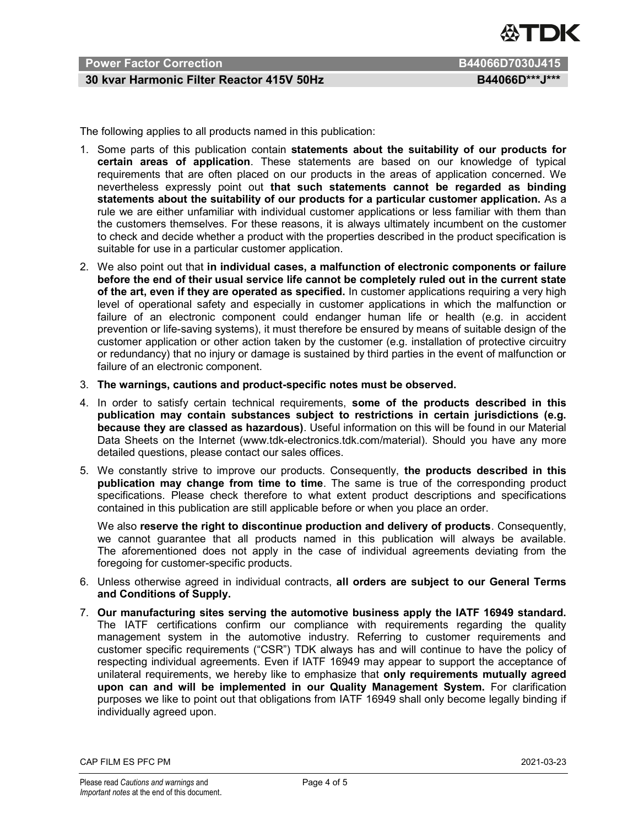

#### Power Factor Correction **B44066D7030J415**

#### 30 kvar Harmonic Filter Reactor 415V 50Hz B44066D\*\*\*J\*\*\*

The following applies to all products named in this publication:

- 1. Some parts of this publication contain statements about the suitability of our products for certain areas of application. These statements are based on our knowledge of typical requirements that are often placed on our products in the areas of application concerned. We nevertheless expressly point out that such statements cannot be regarded as binding statements about the suitability of our products for a particular customer application. As a rule we are either unfamiliar with individual customer applications or less familiar with them than the customers themselves. For these reasons, it is always ultimately incumbent on the customer to check and decide whether a product with the properties described in the product specification is suitable for use in a particular customer application.
- 2. We also point out that in individual cases, a malfunction of electronic components or failure before the end of their usual service life cannot be completely ruled out in the current state of the art, even if they are operated as specified. In customer applications requiring a very high level of operational safety and especially in customer applications in which the malfunction or failure of an electronic component could endanger human life or health (e.g. in accident prevention or life-saving systems), it must therefore be ensured by means of suitable design of the customer application or other action taken by the customer (e.g. installation of protective circuitry or redundancy) that no injury or damage is sustained by third parties in the event of malfunction or failure of an electronic component.
- 3. The warnings, cautions and product-specific notes must be observed.
- 4. In order to satisfy certain technical requirements, some of the products described in this publication may contain substances subject to restrictions in certain jurisdictions (e.g. because they are classed as hazardous). Useful information on this will be found in our Material Data Sheets on the Internet (www.tdk-electronics.tdk.com/material). Should you have any more detailed questions, please contact our sales offices.
- 5. We constantly strive to improve our products. Consequently, the products described in this publication may change from time to time. The same is true of the corresponding product specifications. Please check therefore to what extent product descriptions and specifications contained in this publication are still applicable before or when you place an order.

We also reserve the right to discontinue production and delivery of products. Consequently, we cannot guarantee that all products named in this publication will always be available. The aforementioned does not apply in the case of individual agreements deviating from the foregoing for customer-specific products.

- 6. Unless otherwise agreed in individual contracts, all orders are subject to our General Terms and Conditions of Supply.
- 7. Our manufacturing sites serving the automotive business apply the IATF 16949 standard. The IATF certifications confirm our compliance with requirements regarding the quality management system in the automotive industry. Referring to customer requirements and customer specific requirements ("CSR") TDK always has and will continue to have the policy of respecting individual agreements. Even if IATF 16949 may appear to support the acceptance of unilateral requirements, we hereby like to emphasize that only requirements mutually agreed upon can and will be implemented in our Quality Management System. For clarification purposes we like to point out that obligations from IATF 16949 shall only become legally binding if individually agreed upon.